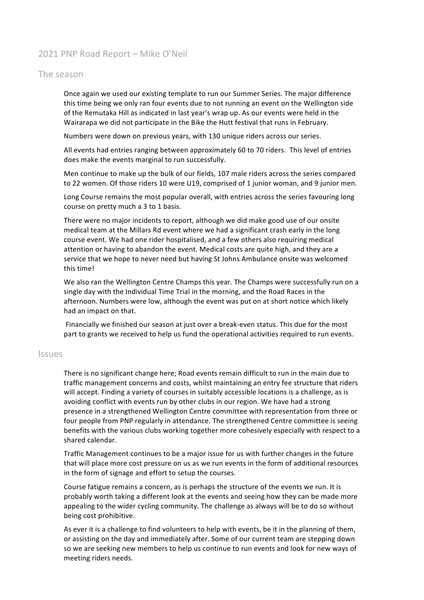## 2021 PNP Road Report - Mike O'Neil

## The season

Once again we used our existing template to run our Summer Series. The major difference this time being we only ran four events due to not running an event on the Wellington side of the Remutaka Hill as indicated in last year's wrap up. As our events were held in the Wairarapa we did not participate in the Bike the Hutt festival that runs in February.

Numbers were down on previous years, with 130 unique riders across our series.

All events had entries ranging between approximately 60 to 70 riders. This level of entries does make the events marginal to run successfully.

Men continue to make up the bulk of our fields, 107 male riders across the series compared to 22 women. Of those riders 10 were U19, comprised of 1 junior woman, and 9 junior men.

Long Course remains the most popular overall, with entries across the series favouring long course on pretty much a 3 to 1 basis.

There were no major incidents to report, although we did make good use of our onsite medical team at the Millars Rd event where we had a significant crash early in the long course event. We had one rider hospitalised, and a few others also requiring medical attention or having to abandon the event. Medical costs are quite high, and they are a service that we hope to never need but having St Johns Ambulance onsite was welcomed this time!

We also ran the Wellington Centre Champs this year. The Champs were successfully run on a single day with the Individual Time Trial in the morning, and the Road Races in the afternoon. Numbers were low, although the event was put on at short notice which likely had an impact on that.

Financially we finished our season at just over a break-even status. This due for the most part to grants we received to help us fund the operational activities required to run events.

## Issues

There is no significant change here; Road events remain difficult to run in the main due to traffic management concerns and costs, whilst maintaining an entry fee structure that riders will accept. Finding a variety of courses in suitably accessible locations is a challenge, as is avoiding conflict with events run by other clubs in our region. We have had a strong presence in a strengthened Wellington Centre committee with representation from three or four people from PNP regularly in attendance. The strengthened Centre committee is seeing benefits with the various clubs working together more cohesively especially with respect to a shared calendar.

Traffic Management continues to be a major issue for us with further changes in the future that will place more cost pressure on us as we run events in the form of additional resources in the form of signage and effort to setup the courses.

Course fatigue remains a concern, as is perhaps the structure of the events we run. It is probably worth taking a different look at the events and seeing how they can be made more appealing to the wider cycling community. The challenge as always will be to do so without being cost prohibitive.

As ever it is a challenge to find volunteers to help with events, be it in the planning of them, or assisting on the day and immediately after. Some of our current team are stepping down so we are seeking new members to help us continue to run events and look for new ways of meeting riders needs.